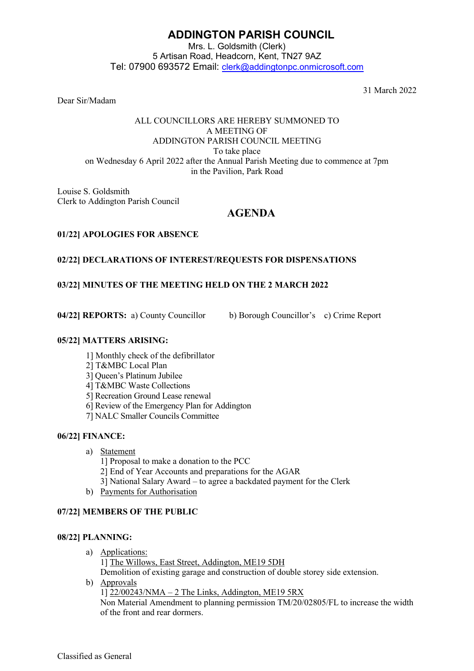# **ADDINGTON PARISH COUNCIL**

Mrs. L. Goldsmith (Clerk) 5 Artisan Road, Headcorn, Kent, TN27 9AZ Tel: 07900 693572 Email: [clerk@addingtonpc.onmicrosoft.com](about:blank)

31 March 2022

## Dear Sir/Madam

#### ALL COUNCILLORS ARE HEREBY SUMMONED TO A MEETING OF ADDINGTON PARISH COUNCIL MEETING To take place on Wednesday 6 April 2022 after the Annual Parish Meeting due to commence at 7pm in the Pavilion, Park Road

Louise S. Goldsmith Clerk to Addington Parish Council

## **AGENDA**

## **01/22] APOLOGIES FOR ABSENCE**

## **02/22] DECLARATIONS OF INTEREST/REQUESTS FOR DISPENSATIONS**

## **03/22] MINUTES OF THE MEETING HELD ON THE 2 MARCH 2022**

**04/22] REPORTS:** a) County Councillor b) Borough Councillor's c) Crime Report

#### **05/22] MATTERS ARISING:**

- 1] Monthly check of the defibrillator
- 2] T&MBC Local Plan
- 3] Queen's Platinum Jubilee
- 4] T&MBC Waste Collections
- 5] Recreation Ground Lease renewal
- 6] Review of the Emergency Plan for Addington
- 7] NALC Smaller Councils Committee

## **06/22] FINANCE:**

- a) Statement
	- 1] Proposal to make a donation to the PCC
	- 2] End of Year Accounts and preparations for the AGAR
	- 3] National Salary Award to agree a backdated payment for the Clerk
- b) Payments for Authorisation

## **07/22] MEMBERS OF THE PUBLIC**

#### **08/22] PLANNING:**

- a) Applications:
	- 1] The Willows, East Street, Addington, ME19 5DH

Demolition of existing garage and construction of double storey side extension.

b) Approvals

1] 22/00243/NMA – 2 The Links, Addington, ME19 5RX

Non Material Amendment to planning permission TM/20/02805/FL to increase the width of the front and rear dormers.